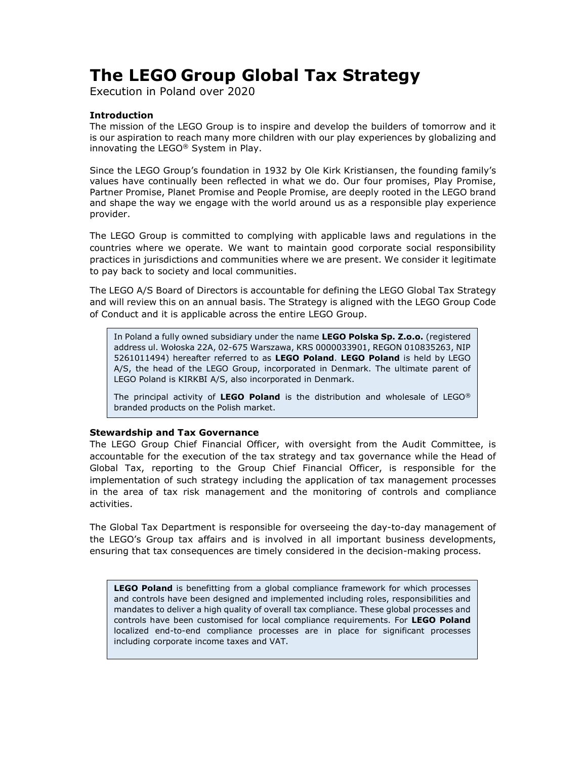# The LEGO Group Global Tax Strategy

Execution in Poland over 2020

## Introduction

The mission of the LEGO Group is to inspire and develop the builders of tomorrow and it is our aspiration to reach many more children with our play experiences by globalizing and innovating the LEGO® System in Play.

Since the LEGO Group's foundation in 1932 by Ole Kirk Kristiansen, the founding family's values have continually been reflected in what we do. Our four promises, Play Promise, Partner Promise, Planet Promise and People Promise, are deeply rooted in the LEGO brand and shape the way we engage with the world around us as a responsible play experience provider.

The LEGO Group is committed to complying with applicable laws and regulations in the countries where we operate. We want to maintain good corporate social responsibility practices in jurisdictions and communities where we are present. We consider it legitimate to pay back to society and local communities.

The LEGO A/S Board of Directors is accountable for defining the LEGO Global Tax Strategy and will review this on an annual basis. The Strategy is aligned with the LEGO Group Code of Conduct and it is applicable across the entire LEGO Group.

In Poland a fully owned subsidiary under the name LEGO Polska Sp. Z.o.o. (registered address ul. Wołoska 22A, 02-675 Warszawa, KRS 0000033901, REGON 010835263, NIP 5261011494) hereafter referred to as LEGO Poland. LEGO Poland is held by LEGO A/S, the head of the LEGO Group, incorporated in Denmark. The ultimate parent of LEGO Poland is KIRKBI A/S, also incorporated in Denmark.

The principal activity of LEGO Poland is the distribution and wholesale of LEGO<sup>®</sup> branded products on the Polish market.

## Stewardship and Tax Governance

The LEGO Group Chief Financial Officer, with oversight from the Audit Committee, is accountable for the execution of the tax strategy and tax governance while the Head of Global Tax, reporting to the Group Chief Financial Officer, is responsible for the implementation of such strategy including the application of tax management processes in the area of tax risk management and the monitoring of controls and compliance activities.

The Global Tax Department is responsible for overseeing the day-to-day management of the LEGO's Group tax affairs and is involved in all important business developments, ensuring that tax consequences are timely considered in the decision-making process.

LEGO Poland is benefitting from a global compliance framework for which processes and controls have been designed and implemented including roles, responsibilities and mandates to deliver a high quality of overall tax compliance. These global processes and controls have been customised for local compliance requirements. For LEGO Poland localized end-to-end compliance processes are in place for significant processes including corporate income taxes and VAT.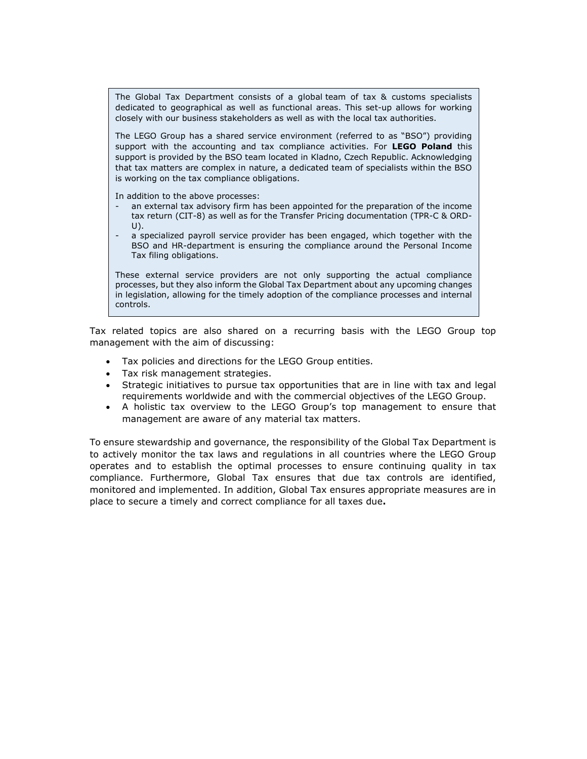The Global Tax Department consists of a global team of tax & customs specialists dedicated to geographical as well as functional areas. This set-up allows for working closely with our business stakeholders as well as with the local tax authorities.

The LEGO Group has a shared service environment (referred to as "BSO") providing support with the accounting and tax compliance activities. For LEGO Poland this support is provided by the BSO team located in Kladno, Czech Republic. Acknowledging that tax matters are complex in nature, a dedicated team of specialists within the BSO is working on the tax compliance obligations.

In addition to the above processes:

- an external tax advisory firm has been appointed for the preparation of the income tax return (CIT-8) as well as for the Transfer Pricing documentation (TPR-C & ORD- $U$ ).
- a specialized payroll service provider has been engaged, which together with the BSO and HR-department is ensuring the compliance around the Personal Income Tax filing obligations.

These external service providers are not only supporting the actual compliance processes, but they also inform the Global Tax Department about any upcoming changes in legislation, allowing for the timely adoption of the compliance processes and internal controls.

Tax related topics are also shared on a recurring basis with the LEGO Group top management with the aim of discussing:

- Tax policies and directions for the LEGO Group entities.
- Tax risk management strategies.
- Strategic initiatives to pursue tax opportunities that are in line with tax and legal requirements worldwide and with the commercial objectives of the LEGO Group.
- A holistic tax overview to the LEGO Group's top management to ensure that management are aware of any material tax matters.

To ensure stewardship and governance, the responsibility of the Global Tax Department is to actively monitor the tax laws and regulations in all countries where the LEGO Group operates and to establish the optimal processes to ensure continuing quality in tax compliance. Furthermore, Global Tax ensures that due tax controls are identified, monitored and implemented. In addition, Global Tax ensures appropriate measures are in place to secure a timely and correct compliance for all taxes due.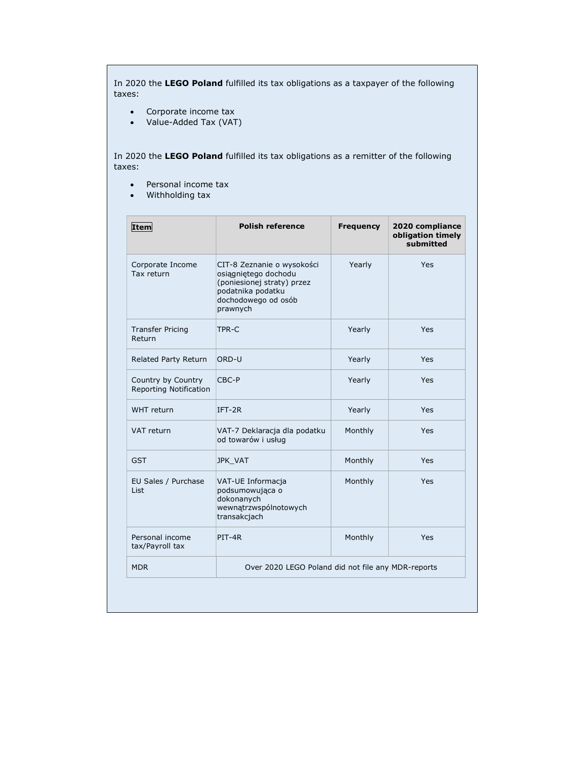In 2020 the LEGO Poland fulfilled its tax obligations as a taxpayer of the following taxes:

- Corporate income tax
- Value-Added Tax (VAT)

In 2020 the LEGO Poland fulfilled its tax obligations as a remitter of the following taxes:

- Personal income tax
- Withholding tax

| Item                                         | <b>Polish reference</b>                                                                                                                  | <b>Frequency</b> | 2020 compliance<br>obligation timely<br>submitted |
|----------------------------------------------|------------------------------------------------------------------------------------------------------------------------------------------|------------------|---------------------------------------------------|
| Corporate Income<br>Tax return               | CIT-8 Zeznanie o wysokości<br>osiągniętego dochodu<br>(poniesionej straty) przez<br>podatnika podatku<br>dochodowego od osób<br>prawnych | Yearly           | Yes                                               |
| <b>Transfer Pricing</b><br>Return            | TPR-C                                                                                                                                    | Yearly           | Yes                                               |
| Related Party Return                         | ORD-U                                                                                                                                    | Yearly           | Yes                                               |
| Country by Country<br>Reporting Notification | CBC-P                                                                                                                                    | Yearly           | Yes                                               |
| WHT return                                   | $IFT-2R$                                                                                                                                 | Yearly           | Yes                                               |
| VAT return                                   | VAT-7 Deklaracja dla podatku<br>od towarów i usług                                                                                       | Monthly          | Yes                                               |
| <b>GST</b>                                   | JPK_VAT                                                                                                                                  | Monthly          | Yes                                               |
| EU Sales / Purchase<br>List                  | VAT-UE Informacja<br>podsumowująca o<br>dokonanych<br>wewnątrzwspólnotowych<br>transakcjach                                              | Monthly          | Yes                                               |
| Personal income<br>tax/Payroll tax           | PIT-4R                                                                                                                                   | Monthly          | Yes                                               |
| <b>MDR</b>                                   | Over 2020 LEGO Poland did not file any MDR-reports                                                                                       |                  |                                                   |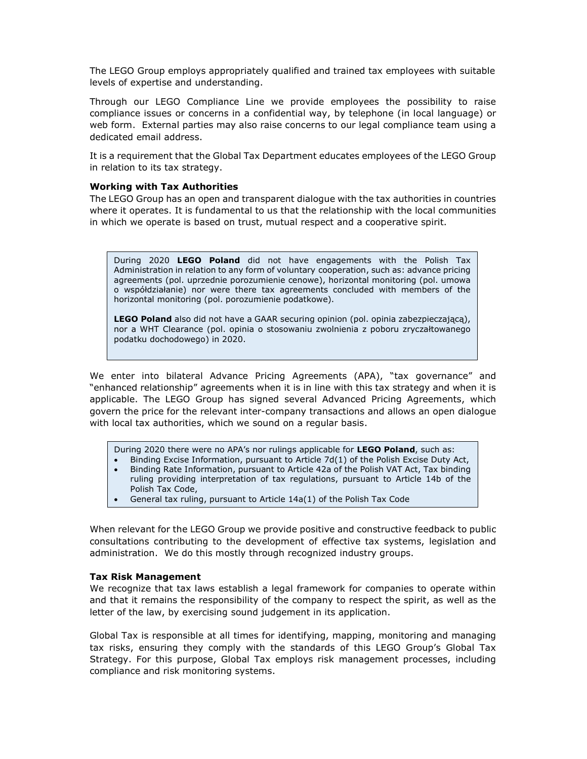The LEGO Group employs appropriately qualified and trained tax employees with suitable levels of expertise and understanding.

Through our LEGO Compliance Line we provide employees the possibility to raise compliance issues or concerns in a confidential way, by telephone (in local language) or web form. External parties may also raise concerns to our legal compliance team using a dedicated email address.

It is a requirement that the Global Tax Department educates employees of the LEGO Group in relation to its tax strategy.

#### Working with Tax Authorities

The LEGO Group has an open and transparent dialogue with the tax authorities in countries where it operates. It is fundamental to us that the relationship with the local communities in which we operate is based on trust, mutual respect and a cooperative spirit.

During 2020 LEGO Poland did not have engagements with the Polish Tax Administration in relation to any form of voluntary cooperation, such as: advance pricing agreements (pol. uprzednie porozumienie cenowe), horizontal monitoring (pol. umowa o współdziałanie) nor were there tax agreements concluded with members of the horizontal monitoring (pol. porozumienie podatkowe).

LEGO Poland also did not have a GAAR securing opinion (pol. opinia zabezpieczającą), nor a WHT Clearance (pol. opinia o stosowaniu zwolnienia z poboru zryczałtowanego podatku dochodowego) in 2020.

We enter into bilateral Advance Pricing Agreements (APA), "tax governance" and "enhanced relationship" agreements when it is in line with this tax strategy and when it is applicable. The LEGO Group has signed several Advanced Pricing Agreements, which govern the price for the relevant inter-company transactions and allows an open dialogue with local tax authorities, which we sound on a regular basis.

During 2020 there were no APA's nor rulings applicable for LEGO Poland, such as:

- Binding Excise Information, pursuant to Article 7d(1) of the Polish Excise Duty Act,
- Binding Rate Information, pursuant to Article 42a of the Polish VAT Act, Tax binding ruling providing interpretation of tax regulations, pursuant to Article 14b of the Polish Tax Code,
- General tax ruling, pursuant to Article 14a(1) of the Polish Tax Code

When relevant for the LEGO Group we provide positive and constructive feedback to public consultations contributing to the development of effective tax systems, legislation and administration. We do this mostly through recognized industry groups.

## Tax Risk Management

We recognize that tax laws establish a legal framework for companies to operate within and that it remains the responsibility of the company to respect the spirit, as well as the letter of the law, by exercising sound judgement in its application.

Global Tax is responsible at all times for identifying, mapping, monitoring and managing tax risks, ensuring they comply with the standards of this LEGO Group's Global Tax Strategy. For this purpose, Global Tax employs risk management processes, including compliance and risk monitoring systems.